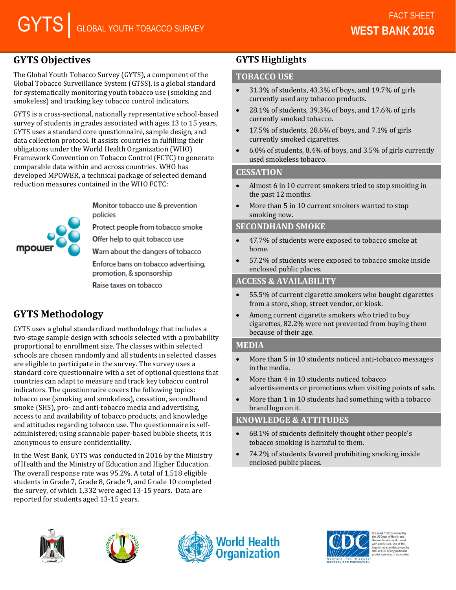# **GYTS Objectives**

The Global Youth Tobacco Survey (GYTS), a component of the Global Tobacco Surveillance System (GTSS), is a global standard for systematically monitoring youth tobacco use (smoking and smokeless) and tracking key tobacco control indicators.

GYTS is a cross-sectional, nationally representative school-based survey of students in grades associated with ages 13 to 15 years. GYTS uses a standard core questionnaire, sample design, and data collection protocol. It assists countries in fulfilling their obligations under the World Health Organization (WHO) Framework Convention on Tobacco Control (FCTC) to generate comparable data within and across countries. WHO has developed MPOWER, a technical package of selected demand reduction measures contained in the WHO FCTC:

mpou

Monitor tobacco use & prevention policies

Protect people from tobacco smoke

Offer help to quit tobacco use

Warn about the dangers of tobacco

Enforce bans on tobacco advertising. promotion, & sponsorship

Raise taxes on tobacco

# **GYTS Methodology**

GYTS uses a global standardized methodology that includes a two-stage sample design with schools selected with a probability proportional to enrollment size. The classes within selected schools are chosen randomly and all students in selected classes are eligible to participate in the survey. The survey uses a standard core questionnaire with a set of optional questions that countries can adapt to measure and track key tobacco control indicators. The questionnaire covers the following topics: tobacco use (smoking and smokeless), cessation, secondhand smoke (SHS), pro- and anti-tobacco media and advertising, access to and availability of tobacco products, and knowledge and attitudes regarding tobacco use. The questionnaire is selfadministered; using scannable paper-based bubble sheets, it is anonymous to ensure confidentiality.

In the West Bank, GYTS was conducted in 2016 by the Ministry of Health and the Ministry of Education and Higher Education. The overall response rate was 95.2%. A total of 1,518 eligible students in Grade 7, Grade 8, Grade 9, and Grade 10 completed the survey, of which 1,332 were aged 13-15 years. Data are reported for students aged 13-15 years.

# **GYTS Highlights**

## **TOBACCO USE**

- 31.3% of students, 43.3% of boys, and 19.7% of girls currently used any tobacco products.
- 28.1% of students, 39.3% of boys, and 17.6% of girls currently smoked tobacco.
- 17.5% of students, 28.6% of boys, and 7.1% of girls currently smoked cigarettes.
- 6.0% of students, 8.4% of boys, and 3.5% of girls currently used smokeless tobacco.

## **CESSATION**

- Almost 6 in 10 current smokers tried to stop smoking in the past 12 months.
- More than 5 in 10 current smokers wanted to stop smoking now.

## **SECONDHAND SMOKE**

- 47.7% of students were exposed to tobacco smoke at home.
- 57.2% of students were exposed to tobacco smoke inside enclosed public places.

## **ACCESS & AVAILABILITY**

- 55.5% of current cigarette smokers who bought cigarettes from a store, shop, street vendor, or kiosk.
- Among current cigarette smokers who tried to buy cigarettes, 82.2% were not prevented from buying them because of their age.

## **MEDIA**

- More than 5 in 10 students noticed anti-tobacco messages in the media.
- More than 4 in 10 students noticed tobacco advertisements or promotions when visiting points of sale.
- More than 1 in 10 students had something with a tobacco brand logo on it.

# **KNOWLEDGE & ATTITUDES**

- 68.1% of students definitely thought other people's tobacco smoking is harmful to them.
- 74.2% of students favored prohibiting smoking inside enclosed public places.